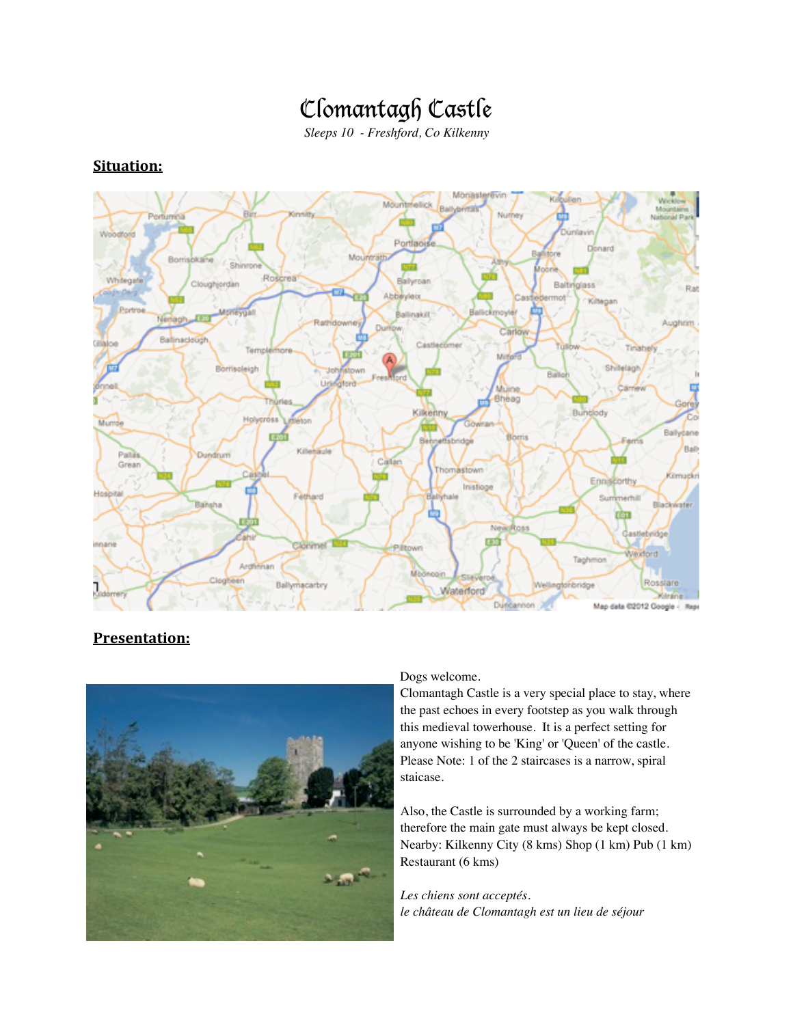# Clomantagh Castle

*Sleeps 10 - Freshford, Co Kilkenny*

#### Monaster Wi-Mount Woodford Portlac Donard tore Mos Bor Shin Roscrea Whitegate Ballyroan Cloughjordan Baltinglass Rat Abbey mot Kiltegar Portin allinakilt Aughtim Carlow **Ballinarists** Gilaloe Cast Tinahel Tem Shilelagh Borrisoleigh Uì) Bheag Kilkenny Bunglody Holypross Mumae Ballygane **Borris Beh** Bally Palla Dundrum Grean Thomastown Kilmuckri Ennis Inistiage Hospital Fethard Ballyhale Sun Blackwater एंग्रा Ne Ross Castlebridge Ϟ innane Vexford Taghmo Arghiman Mb<sub></sub> Clogheen Rosslare Ballymacarbry hbridge Waterford **Milesin** Duncannon Map data 02012 Google - Repr

### **Situation:**

### **Presentation:**



#### Dogs welcome.

Clomantagh Castle is a very special place to stay, where the past echoes in every footstep as you walk through this medieval towerhouse. It is a perfect setting for anyone wishing to be 'King' or 'Queen' of the castle. Please Note: 1 of the 2 staircases is a narrow, spiral staicase.

Also, the Castle is surrounded by a working farm; therefore the main gate must always be kept closed. Nearby: Kilkenny City (8 kms) Shop (1 km) Pub (1 km) Restaurant (6 kms)

*Les chiens sont acceptés. le château de Clomantagh est un lieu de séjour*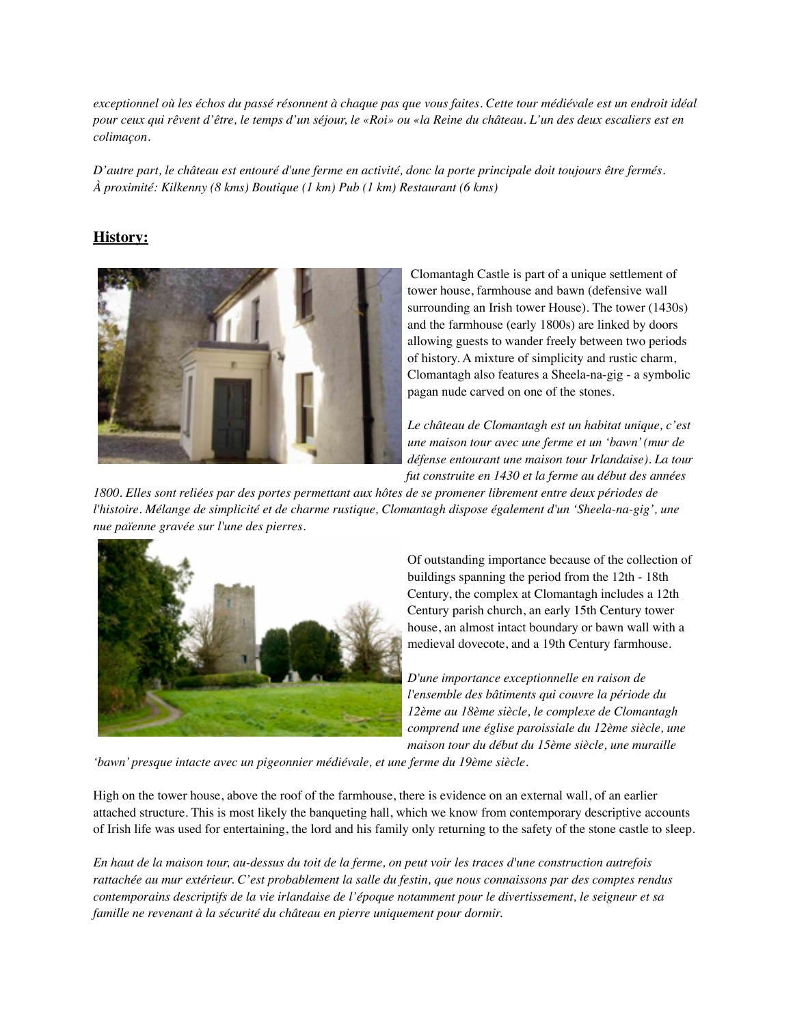*exceptionnel où les échos du passé résonnent à chaque pas que vous faites. Cette tour médiévale est un endroit idéal pour ceux qui rêvent d'être, le temps d'un séjour, le «Roi» ou «la Reine du château. L'un des deux escaliers est en colimaçon.*

*D'autre part, le château est entouré d'une ferme en activité, donc la porte principale doit toujours être fermés. À proximité: Kilkenny (8 kms) Boutique (1 km) Pub (1 km) Restaurant (6 kms)*

#### **History:**



 Clomantagh Castle is part of a unique settlement of tower house, farmhouse and bawn (defensive wall surrounding an Irish tower House). The tower (1430s) and the farmhouse (early 1800s) are linked by doors allowing guests to wander freely between two periods of history. A mixture of simplicity and rustic charm, Clomantagh also features a Sheela-na-gig - a symbolic pagan nude carved on one of the stones.

*Le château de Clomantagh est un habitat unique, c'est une maison tour avec une ferme et un 'bawn' (mur de défense entourant une maison tour Irlandaise). La tour fut construite en 1430 et la ferme au début des années* 

*1800. Elles sont reliées par des portes permettant aux hôtes de se promener librement entre deux périodes de l'histoire. Mélange de simplicité et de charme rustique, Clomantagh dispose également d'un 'Sheela-na-gig', une nue païenne gravée sur l'une des pierres.*



Of outstanding importance because of the collection of buildings spanning the period from the 12th - 18th Century, the complex at Clomantagh includes a 12th Century parish church, an early 15th Century tower house, an almost intact boundary or bawn wall with a medieval dovecote, and a 19th Century farmhouse.

*D'une importance exceptionnelle en raison de l'ensemble des bâtiments qui couvre la période du 12ème au 18ème siècle, le complexe de Clomantagh comprend une église paroissiale du 12ème siècle, une maison tour du début du 15ème siècle, une muraille* 

*'bawn' presque intacte avec un pigeonnier médiévale, et une ferme du 19ème siècle.*

High on the tower house, above the roof of the farmhouse, there is evidence on an external wall, of an earlier attached structure. This is most likely the banqueting hall, which we know from contemporary descriptive accounts of Irish life was used for entertaining, the lord and his family only returning to the safety of the stone castle to sleep.

*En haut de la maison tour, au-dessus du toit de la ferme, on peut voir les traces d'une construction autrefois rattachée au mur extérieur. C'est probablement la salle du festin, que nous connaissons par des comptes rendus contemporains descriptifs de la vie irlandaise de l'époque notamment pour le divertissement, le seigneur et sa famille ne revenant à la sécurité du château en pierre uniquement pour dormir.*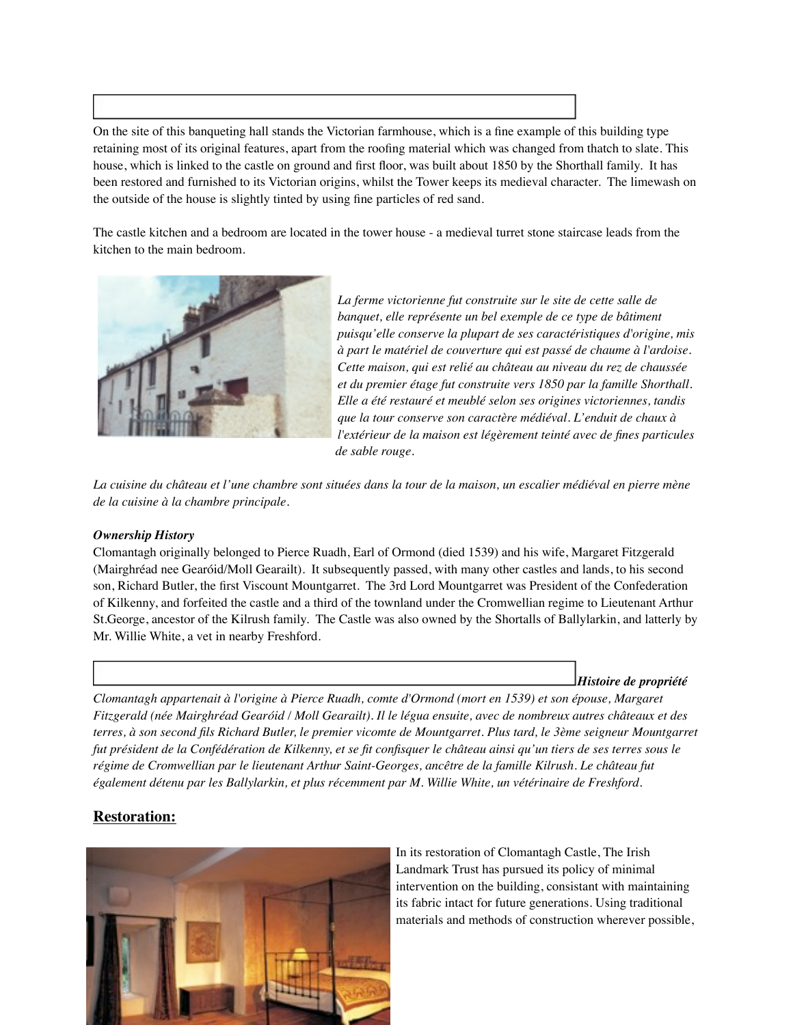On the site of this banqueting hall stands the Victorian farmhouse, which is a fine example of this building type retaining most of its original features, apart from the roofing material which was changed from thatch to slate. This house, which is linked to the castle on ground and first floor, was built about 1850 by the Shorthall family. It has been restored and furnished to its Victorian origins, whilst the Tower keeps its medieval character. The limewash on the outside of the house is slightly tinted by using fine particles of red sand.

The castle kitchen and a bedroom are located in the tower house - a medieval turret stone staircase leads from the kitchen to the main bedroom.



*La ferme victorienne fut construite sur le site de cette salle de banquet, elle représente un bel exemple de ce type de bâtiment puisqu'elle conserve la plupart de ses caractéristiques d'origine, mis à part le matériel de couverture qui est passé de chaume à l'ardoise. Cette maison, qui est relié au château au niveau du rez de chaussée et du premier étage fut construite vers 1850 par la famille Shorthall. Elle a été restauré et meublé selon ses origines victoriennes, tandis que la tour conserve son caractère médiéval. L'enduit de chaux à l'extérieur de la maison est légèrement teinté avec de fines particules de sable rouge.*

*La cuisine du château et l'une chambre sont situées dans la tour de la maison, un escalier médiéval en pierre mène de la cuisine à la chambre principale.*

#### *Ownership History*

Clomantagh originally belonged to Pierce Ruadh, Earl of Ormond (died 1539) and his wife, Margaret Fitzgerald (Mairghréad nee Gearóid/Moll Gearailt). It subsequently passed, with many other castles and lands, to his second son, Richard Butler, the first Viscount Mountgarret. The 3rd Lord Mountgarret was President of the Confederation of Kilkenny, and forfeited the castle and a third of the townland under the Cromwellian regime to Lieutenant Arthur St.George, ancestor of the Kilrush family. The Castle was also owned by the Shortalls of Ballylarkin, and latterly by Mr. Willie White, a vet in nearby Freshford.

#### *Histoire de propriété*

*Clomantagh appartenait à l'origine à Pierce Ruadh, comte d'Ormond (mort en 1539) et son épouse, Margaret Fitzgerald (née Mairghréad Gearóid / Moll Gearailt). Il le légua ensuite, avec de nombreux autres châteaux et des terres, à son second fils Richard Butler, le premier vicomte de Mountgarret. Plus tard, le 3ème seigneur Mountgarret fut président de la Confédération de Kilkenny, et se fit confisquer le château ainsi qu'un tiers de ses terres sous le régime de Cromwellian par le lieutenant Arthur Saint-Georges, ancêtre de la famille Kilrush. Le château fut également détenu par les Ballylarkin, et plus récemment par M. Willie White, un vétérinaire de Freshford.*

#### **Restoration:**



In its restoration of Clomantagh Castle, The Irish Landmark Trust has pursued its policy of minimal intervention on the building, consistant with maintaining its fabric intact for future generations. Using traditional materials and methods of construction wherever possible,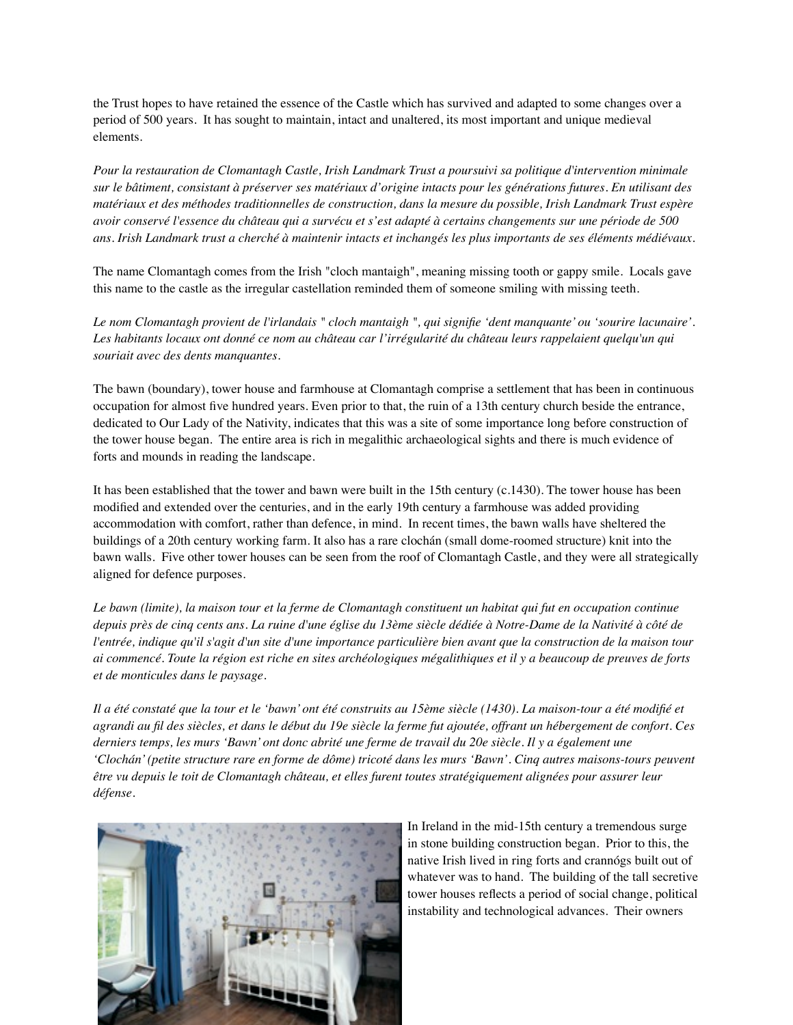the Trust hopes to have retained the essence of the Castle which has survived and adapted to some changes over a period of 500 years. It has sought to maintain, intact and unaltered, its most important and unique medieval elements.

*Pour la restauration de Clomantagh Castle, Irish Landmark Trust a poursuivi sa politique d'intervention minimale sur le bâtiment, consistant à préserver ses matériaux d'origine intacts pour les générations futures. En utilisant des matériaux et des méthodes traditionnelles de construction, dans la mesure du possible, Irish Landmark Trust espère avoir conservé l'essence du château qui a survécu et s'est adapté à certains changements sur une période de 500 ans. Irish Landmark trust a cherché à maintenir intacts et inchangés les plus importants de ses éléments médiévaux.*

The name Clomantagh comes from the Irish "cloch mantaigh", meaning missing tooth or gappy smile. Locals gave this name to the castle as the irregular castellation reminded them of someone smiling with missing teeth.

*Le nom Clomantagh provient de l'irlandais " cloch mantaigh ", qui signifie 'dent manquante' ou 'sourire lacunaire'. Les habitants locaux ont donné ce nom au château car l'irrégularité du château leurs rappelaient quelqu'un qui souriait avec des dents manquantes.*

The bawn (boundary), tower house and farmhouse at Clomantagh comprise a settlement that has been in continuous occupation for almost five hundred years. Even prior to that, the ruin of a 13th century church beside the entrance, dedicated to Our Lady of the Nativity, indicates that this was a site of some importance long before construction of the tower house began. The entire area is rich in megalithic archaeological sights and there is much evidence of forts and mounds in reading the landscape.

It has been established that the tower and bawn were built in the 15th century (c.1430). The tower house has been modified and extended over the centuries, and in the early 19th century a farmhouse was added providing accommodation with comfort, rather than defence, in mind. In recent times, the bawn walls have sheltered the buildings of a 20th century working farm. It also has a rare clochán (small dome-roomed structure) knit into the bawn walls. Five other tower houses can be seen from the roof of Clomantagh Castle, and they were all strategically aligned for defence purposes.

*Le bawn (limite), la maison tour et la ferme de Clomantagh constituent un habitat qui fut en occupation continue depuis près de cinq cents ans. La ruine d'une église du 13ème siècle dédiée à Notre-Dame de la Nativité à côté de l'entrée, indique qu'il s'agit d'un site d'une importance particulière bien avant que la construction de la maison tour ai commencé. Toute la région est riche en sites archéologiques mégalithiques et il y a beaucoup de preuves de forts et de monticules dans le paysage.*

*Il a été constaté que la tour et le 'bawn' ont été construits au 15ème siècle (1430). La maison-tour a été modifié et agrandi au fil des siècles, et dans le début du 19e siècle la ferme fut ajoutée, offrant un hébergement de confort. Ces derniers temps, les murs 'Bawn' ont donc abrité une ferme de travail du 20e siècle. Il y a également une 'Clochán'(petite structure rare en forme de dôme) tricoté dans les murs 'Bawn'. Cinq autres maisons-tours peuvent être vu depuis le toit de Clomantagh château, et elles furent toutes stratégiquement alignées pour assurer leur défense.*



In Ireland in the mid-15th century a tremendous surge in stone building construction began. Prior to this, the native Irish lived in ring forts and crannógs built out of whatever was to hand. The building of the tall secretive tower houses reflects a period of social change, political instability and technological advances. Their owners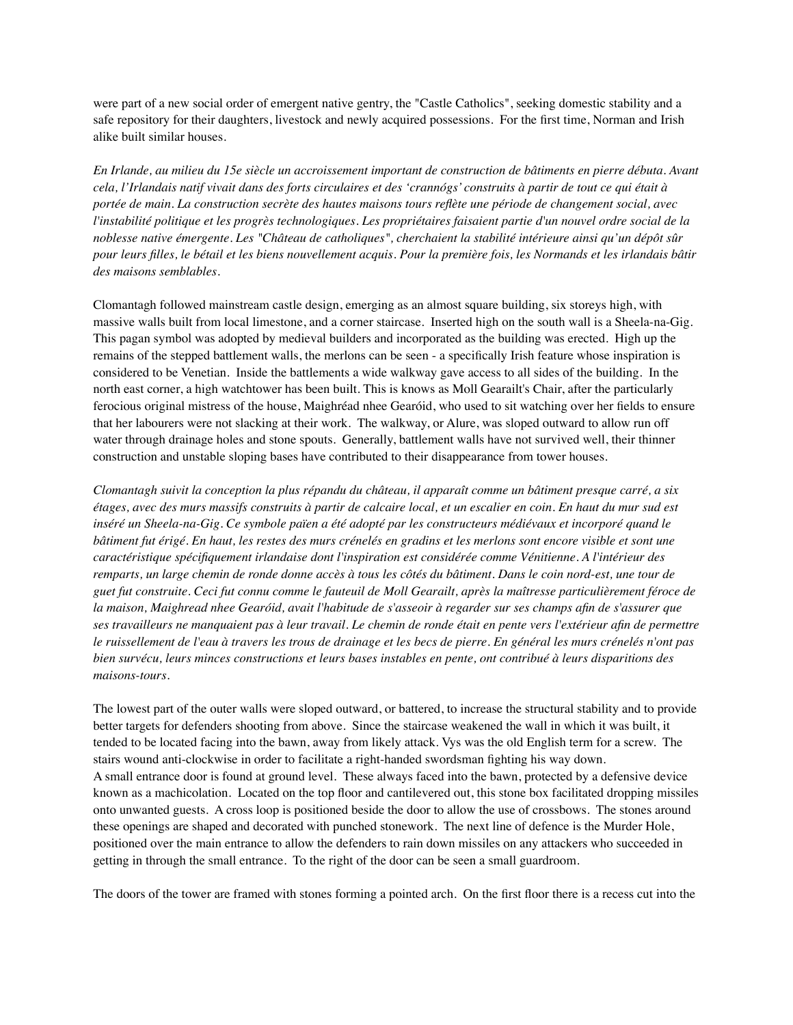were part of a new social order of emergent native gentry, the "Castle Catholics", seeking domestic stability and a safe repository for their daughters, livestock and newly acquired possessions. For the first time, Norman and Irish alike built similar houses.

*En Irlande, au milieu du 15e siècle un accroissement important de construction de bâtiments en pierre débuta. Avant cela, l'Irlandais natif vivait dans des forts circulaires et des 'crannógs' construits à partir de tout ce qui était à portée de main. La construction secrète des hautes maisons tours reflète une période de changement social, avec l'instabilité politique et les progrès technologiques. Les propriétaires faisaient partie d'un nouvel ordre social de la noblesse native émergente. Les "Château de catholiques", cherchaient la stabilité intérieure ainsi qu'un dépôt sûr pour leurs filles, le bétail et les biens nouvellement acquis. Pour la première fois, les Normands et les irlandais bâtir des maisons semblables.*

Clomantagh followed mainstream castle design, emerging as an almost square building, six storeys high, with massive walls built from local limestone, and a corner staircase. Inserted high on the south wall is a Sheela-na-Gig. This pagan symbol was adopted by medieval builders and incorporated as the building was erected. High up the remains of the stepped battlement walls, the merlons can be seen - a specifically Irish feature whose inspiration is considered to be Venetian. Inside the battlements a wide walkway gave access to all sides of the building. In the north east corner, a high watchtower has been built. This is knows as Moll Gearailt's Chair, after the particularly ferocious original mistress of the house, Maighréad nhee Gearóid, who used to sit watching over her fields to ensure that her labourers were not slacking at their work. The walkway, or Alure, was sloped outward to allow run off water through drainage holes and stone spouts. Generally, battlement walls have not survived well, their thinner construction and unstable sloping bases have contributed to their disappearance from tower houses.

*Clomantagh suivit la conception la plus répandu du château, il apparaît comme un bâtiment presque carré, a six étages, avec des murs massifs construits à partir de calcaire local, et un escalier en coin. En haut du mur sud est inséré un Sheela-na-Gig. Ce symbole païen a été adopté par les constructeurs médiévaux et incorporé quand le bâtiment fut érigé. En haut, les restes des murs crénelés en gradins et les merlons sont encore visible et sont une caractéristique spécifiquement irlandaise dont l'inspiration est considérée comme Vénitienne. A l'intérieur des remparts, un large chemin de ronde donne accès à tous les côtés du bâtiment. Dans le coin nord-est, une tour de guet fut construite. Ceci fut connu comme le fauteuil de Moll Gearailt, après la maîtresse particulièrement féroce de la maison, Maighread nhee Gearóid, avait l'habitude de s'asseoir à regarder sur ses champs afin de s'assurer que ses travailleurs ne manquaient pas à leur travail. Le chemin de ronde était en pente vers l'extérieur afin de permettre le ruissellement de l'eau à travers les trous de drainage et les becs de pierre. En général les murs crénelés n'ont pas bien survécu, leurs minces constructions et leurs bases instables en pente, ont contribué à leurs disparitions des maisons-tours.*

The lowest part of the outer walls were sloped outward, or battered, to increase the structural stability and to provide better targets for defenders shooting from above. Since the staircase weakened the wall in which it was built, it tended to be located facing into the bawn, away from likely attack. Vys was the old English term for a screw. The stairs wound anti-clockwise in order to facilitate a right-handed swordsman fighting his way down. A small entrance door is found at ground level. These always faced into the bawn, protected by a defensive device known as a machicolation. Located on the top floor and cantilevered out, this stone box facilitated dropping missiles onto unwanted guests. A cross loop is positioned beside the door to allow the use of crossbows. The stones around these openings are shaped and decorated with punched stonework. The next line of defence is the Murder Hole, positioned over the main entrance to allow the defenders to rain down missiles on any attackers who succeeded in getting in through the small entrance. To the right of the door can be seen a small guardroom.

The doors of the tower are framed with stones forming a pointed arch. On the first floor there is a recess cut into the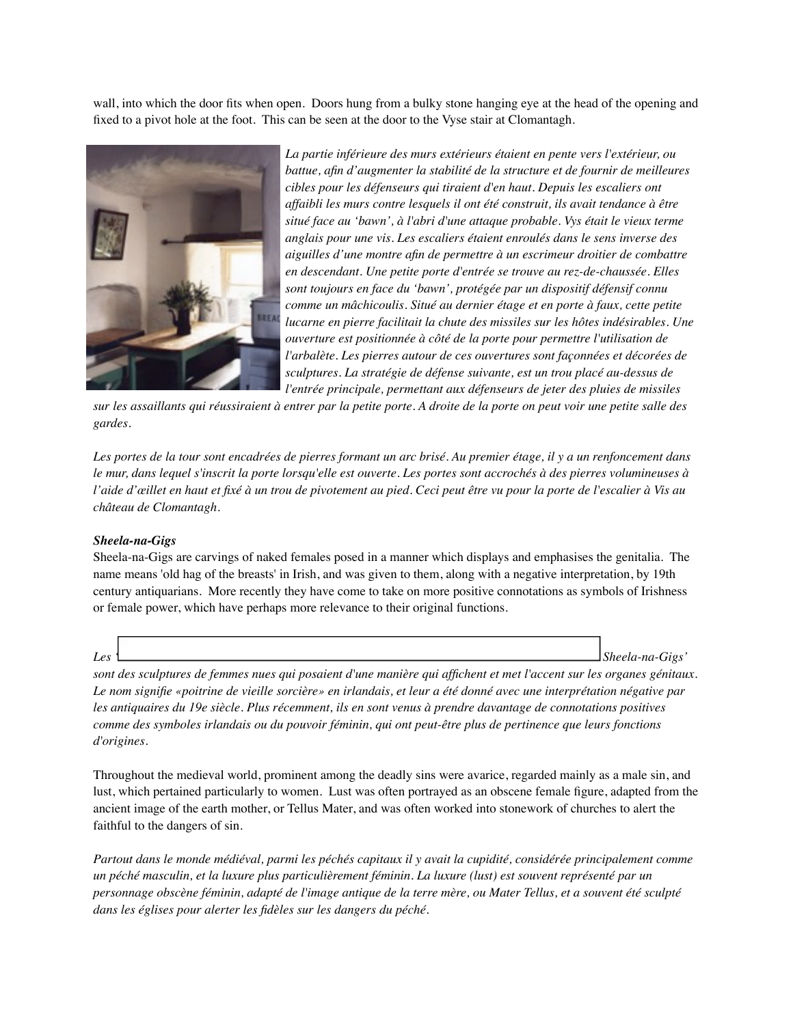wall, into which the door fits when open. Doors hung from a bulky stone hanging eye at the head of the opening and fixed to a pivot hole at the foot. This can be seen at the door to the Vyse stair at Clomantagh.



*La partie inférieure des murs extérieurs étaient en pente vers l'extérieur, ou battue, afin d'augmenter la stabilité de la structure et de fournir de meilleures cibles pour les défenseurs qui tiraient d'en haut. Depuis les escaliers ont affaibli les murs contre lesquels il ont été construit, ils avait tendance à être situé face au 'bawn', à l'abri d'une attaque probable. Vys était le vieux terme anglais pour une vis. Les escaliers étaient enroulés dans le sens inverse des aiguilles d'une montre afin de permettre à un escrimeur droitier de combattre en descendant. Une petite porte d'entrée se trouve au rez-de-chaussée. Elles sont toujours en face du 'bawn', protégée par un dispositif défensif connu comme un mâchicoulis. Situé au dernier étage et en porte à faux, cette petite lucarne en pierre facilitait la chute des missiles sur les hôtes indésirables. Une ouverture est positionnée à côté de la porte pour permettre l'utilisation de l'arbalète. Les pierres autour de ces ouvertures sont façonnées et décorées de sculptures. La stratégie de défense suivante, est un trou placé au-dessus de l'entrée principale, permettant aux défenseurs de jeter des pluies de missiles* 

*sur les assaillants qui réussiraient à entrer par la petite porte. A droite de la porte on peut voir une petite salle des gardes.*

*Les portes de la tour sont encadrées de pierres formant un arc brisé. Au premier étage, il y a un renfoncement dans le mur, dans lequel s'inscrit la porte lorsqu'elle est ouverte. Les portes sont accrochés à des pierres volumineuses à l'aide d'œillet en haut et fixé à un trou de pivotement au pied. Ceci peut être vu pour la porte de l'escalier à Vis au château de Clomantagh.* 

#### *Sheela-na-Gigs*

Sheela-na-Gigs are carvings of naked females posed in a manner which displays and emphasises the genitalia. The name means 'old hag of the breasts' in Irish, and was given to them, along with a negative interpretation, by 19th century antiquarians. More recently they have come to take on more positive connotations as symbols of Irishness or female power, which have perhaps more relevance to their original functions.

*Les ' Sheela-na-Gigs'* 

*sont des sculptures de femmes nues qui posaient d'une manière qui affichent et met l'accent sur les organes génitaux. Le nom signifie «poitrine de vieille sorcière» en irlandais, et leur a été donné avec une interprétation négative par les antiquaires du 19e siècle. Plus récemment, ils en sont venus à prendre davantage de connotations positives comme des symboles irlandais ou du pouvoir féminin, qui ont peut-être plus de pertinence que leurs fonctions d'origines.*

Throughout the medieval world, prominent among the deadly sins were avarice, regarded mainly as a male sin, and lust, which pertained particularly to women. Lust was often portrayed as an obscene female figure, adapted from the ancient image of the earth mother, or Tellus Mater, and was often worked into stonework of churches to alert the faithful to the dangers of sin.

*Partout dans le monde médiéval, parmi les péchés capitaux il y avait la cupidité, considérée principalement comme un péché masculin, et la luxure plus particulièrement féminin. La luxure (lust) est souvent représenté par un personnage obscène féminin, adapté de l'image antique de la terre mère, ou Mater Tellus, et a souvent été sculpté dans les églises pour alerter les fidèles sur les dangers du péché.*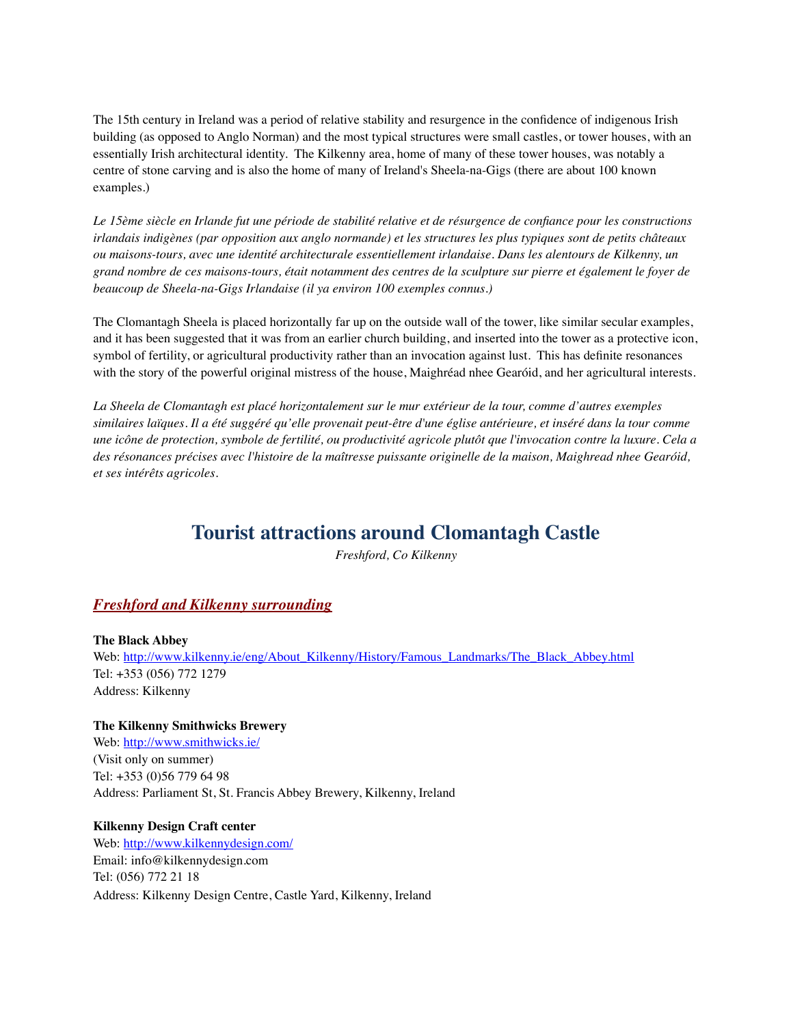The 15th century in Ireland was a period of relative stability and resurgence in the confidence of indigenous Irish building (as opposed to Anglo Norman) and the most typical structures were small castles, or tower houses, with an essentially Irish architectural identity. The Kilkenny area, home of many of these tower houses, was notably a centre of stone carving and is also the home of many of Ireland's Sheela-na-Gigs (there are about 100 known examples.)

*Le 15ème siècle en Irlande fut une période de stabilité relative et de résurgence de confiance pour les constructions irlandais indigènes (par opposition aux anglo normande) et les structures les plus typiques sont de petits châteaux ou maisons-tours, avec une identité architecturale essentiellement irlandaise. Dans les alentours de Kilkenny, un grand nombre de ces maisons-tours, était notamment des centres de la sculpture sur pierre et également le foyer de beaucoup de Sheela-na-Gigs Irlandaise (il ya environ 100 exemples connus.)*

The Clomantagh Sheela is placed horizontally far up on the outside wall of the tower, like similar secular examples, and it has been suggested that it was from an earlier church building, and inserted into the tower as a protective icon, symbol of fertility, or agricultural productivity rather than an invocation against lust. This has definite resonances with the story of the powerful original mistress of the house, Maighréad nhee Gearóid, and her agricultural interests.

*La Sheela de Clomantagh est placé horizontalement sur le mur extérieur de la tour, comme d'autres exemples similaires laïques. Il a été suggéré qu'elle provenait peut-être d'une église antérieure, et inséré dans la tour comme une icône de protection, symbole de fertilité, ou productivité agricole plutôt que l'invocation contre la luxure. Cela a des résonances précises avec l'histoire de la maîtresse puissante originelle de la maison, Maighread nhee Gearóid, et ses intérêts agricoles.*

### **Tourist attractions around Clomantagh Castle**

*Freshford, Co Kilkenny*

#### *Freshford and Kilkenny surrounding*

**The Black Abbey** Web: [http://www.kilkenny.ie/eng/About\\_Kilkenny/History/Famous\\_Landmarks/The\\_Black\\_Abbey.html](http://www.kilkenny.ie/eng/About_Kilkenny/History/Famous_Landmarks/The_Black_Abbey.html) Tel: +353 (056) 772 1279 Address: Kilkenny

**The Kilkenny Smithwicks Brewery** Web:<http://www.smithwicks.ie/> (Visit only on summer) Tel: +353 (0)56 779 64 98 Address: Parliament St, St. Francis Abbey Brewery, Kilkenny, Ireland

**Kilkenny Design Craft center** Web:<http://www.kilkennydesign.com/> Email: info@kilkennydesign.com Tel: (056) 772 21 18 Address: Kilkenny Design Centre, Castle Yard, Kilkenny, Ireland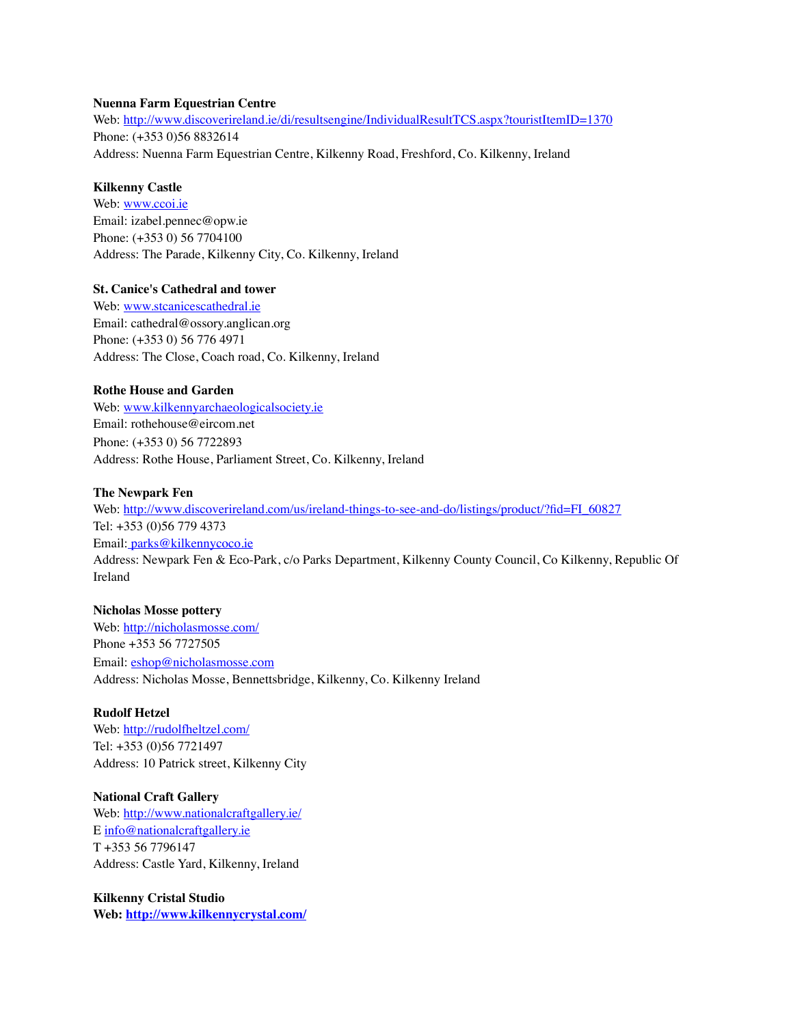#### **Nuenna Farm Equestrian Centre**

Web:<http://www.discoverireland.ie/di/resultsengine/IndividualResultTCS.aspx?touristItemID=1370> Phone: (+353 0)56 8832614 Address: Nuenna Farm Equestrian Centre, Kilkenny Road, Freshford, Co. Kilkenny, Ireland

#### **Kilkenny Castle**

Web: [www.ccoi.ie](http://www.ccoi.ie) Email: izabel.pennec@opw.ie Phone: (+353 0) 56 7704100 Address: The Parade, Kilkenny City, Co. Kilkenny, Ireland

#### **St. Canice's Cathedral and tower**

Web: [www.stcanicescathedral.ie](http://www.stcanicescathedral.ie) Email: cathedral@ossory.anglican.org Phone: (+353 0) 56 776 4971 Address: The Close, Coach road, Co. Kilkenny, Ireland

#### **Rothe House and Garden**

Web: [www.kilkennyarchaeologicalsociety.ie](http://www.kilkennyarchaeologicalsociety.ie) Email: rothehouse@eircom.net Phone: (+353 0) 56 7722893 Address: Rothe House, Parliament Street, Co. Kilkenny, Ireland

#### **The Newpark Fen**

Web: [http://www.discoverireland.com/us/ireland-things-to-see-and-do/listings/product/?fid=FI\\_60827](http://www.discoverireland.com/us/ireland-things-to-see-and-do/listings/product/?fid=FI_60827) Tel: +353 (0)56 779 4373 Email: [parks@kilkennycoco.ie](mailto:parks@kilkennycoco.ie) Address: Newpark Fen & Eco-Park, c/o Parks Department, Kilkenny County Council, Co Kilkenny, Republic Of Ireland

#### **Nicholas Mosse pottery**

Web:<http://nicholasmosse.com/> Phone +353 56 7727505 Email: [eshop@nicholasmosse.com](mailto:eshop@nicholasmosse.com) Address: Nicholas Mosse, Bennettsbridge, Kilkenny, Co. Kilkenny Ireland

#### **Rudolf Hetzel**

Web:<http://rudolfheltzel.com/> Tel: +353 (0)56 7721497 Address: 10 Patrick street, Kilkenny City

#### **National Craft Gallery**

Web:<http://www.nationalcraftgallery.ie/> E [info@nationalcraftgallery.ie](mailto:info@nationalcraftgallery.ie) T +353 56 7796147 Address: Castle Yard, Kilkenny, Ireland

**Kilkenny Cristal Studio Web:<http://www.kilkennycrystal.com/>**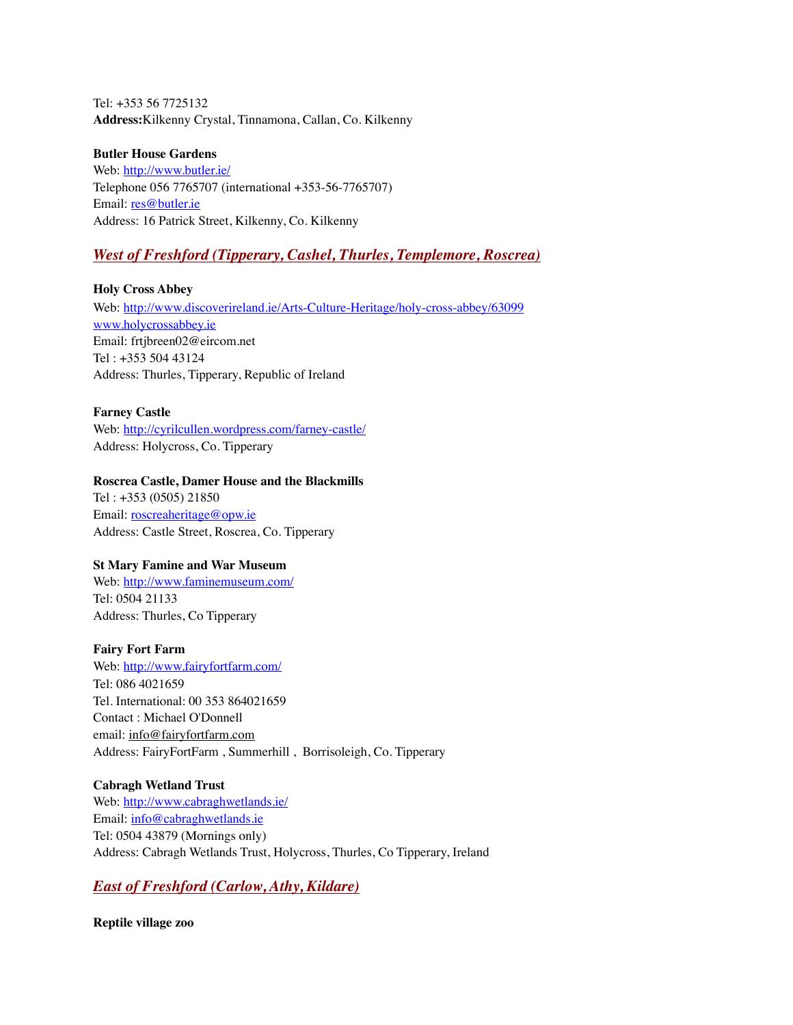Tel: +353 56 7725132 **Address:**Kilkenny Crystal, Tinnamona, Callan, Co. Kilkenny

#### **Butler House Gardens**

Web:<http://www.butler.ie/> Telephone 056 7765707 (international +353-56-7765707) Email: [res@butler.ie](mailto:res@butler.ie) Address: 16 Patrick Street, Kilkenny, Co. Kilkenny

#### *West of Freshford (Tipperary, Cashel, Thurles, Templemore, Roscrea)*

**Holy Cross Abbey**

Web:<http://www.discoverireland.ie/Arts-Culture-Heritage/holy-cross-abbey/63099> www.holycrossabbey.ie Email: frtjbreen02@eircom.net Tel : +353 504 43124 Address: Thurles, Tipperary, Republic of Ireland

#### **Farney Castle**

Web:<http://cyrilcullen.wordpress.com/farney-castle/> Address: Holycross, Co. Tipperary

#### **Roscrea Castle, Damer House and the Blackmills**

Tel : +353 (0505) 21850 Email: [roscreaheritage@opw.ie](mailto:roscreaheritage@opw.ie) Address: Castle Street, Roscrea, Co. Tipperary

#### **St Mary Famine and War Museum**

Web:<http://www.faminemuseum.com/> Tel: 0504 21133 Address: Thurles, Co Tipperary

#### **Fairy Fort Farm**

Web:<http://www.fairyfortfarm.com/> Tel: 086 4021659 Tel. International: 00 353 864021659 Contact : Michael O'Donnell email: [info@fairyfortfarm.com](mailto:info@fairyfortfarm.com) Address: FairyFortFarm , Summerhill , Borrisoleigh, Co. Tipperary

#### **Cabragh Wetland Trust**

Web:<http://www.cabraghwetlands.ie/> Email: [info@cabraghwetlands.ie](mailto:info@cabraghwetlands.ie) Tel: 0504 43879 (Mornings only) Address: Cabragh Wetlands Trust, Holycross, Thurles, Co Tipperary, Ireland

#### *East of Freshford (Carlow, Athy, Kildare)*

**Reptile village zoo**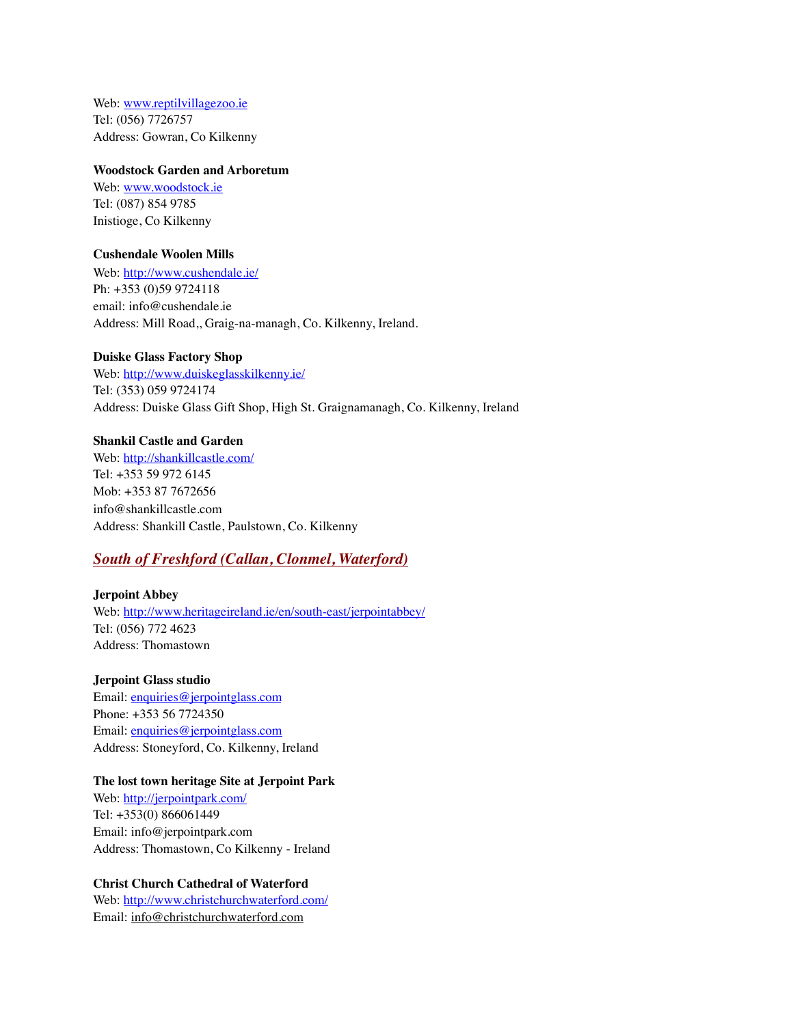Web: [www.reptilvillagezoo.ie](http://www.reptilvillagezoo.ie) Tel: (056) 7726757 Address: Gowran, Co Kilkenny

#### **Woodstock Garden and Arboretum**

Web: [www.woodstock.ie](http://www.woodstock.ie) Tel: (087) 854 9785 Inistioge, Co Kilkenny

#### **Cushendale Woolen Mills**

Web:<http://www.cushendale.ie/> Ph: +353 (0)59 9724118 email: info@cushendale.ie Address: Mill Road,, Graig-na-managh, Co. Kilkenny, Ireland.

#### **Duiske Glass Factory Shop**

Web:<http://www.duiskeglasskilkenny.ie/> Tel: (353) 059 9724174 Address: Duiske Glass Gift Shop, High St. Graignamanagh, Co. Kilkenny, Ireland

#### **Shankil Castle and Garden**

Web:<http://shankillcastle.com/> Tel: +353 59 972 6145 Mob: +353 87 7672656 info@shankillcastle.com Address: Shankill Castle, Paulstown, Co. Kilkenny

### *South of Freshford (Callan, Clonmel, Waterford)*

#### **Jerpoint Abbey**

Web:<http://www.heritageireland.ie/en/south-east/jerpointabbey/> Tel: (056) 772 4623 Address: Thomastown

#### **Jerpoint Glass studio**

Email: [enquiries@jerpointglass.com](mailto:enquiries@jerpointglass.com) Phone: +353 56 7724350 Email: [enquiries@jerpointglass.com](mailto:enquiries@jerpointglass.com) Address: Stoneyford, Co. Kilkenny, Ireland

#### **The lost town heritage Site at Jerpoint Park**

Web:<http://jerpointpark.com/> Tel: +353(0) 866061449 Email: info@jerpointpark.com Address: Thomastown, Co Kilkenny - Ireland

#### **Christ Church Cathedral of Waterford**

Web:<http://www.christchurchwaterford.com/> Email: [info@christchurchwaterford.com](mailto:info@christchurchwaterford.com)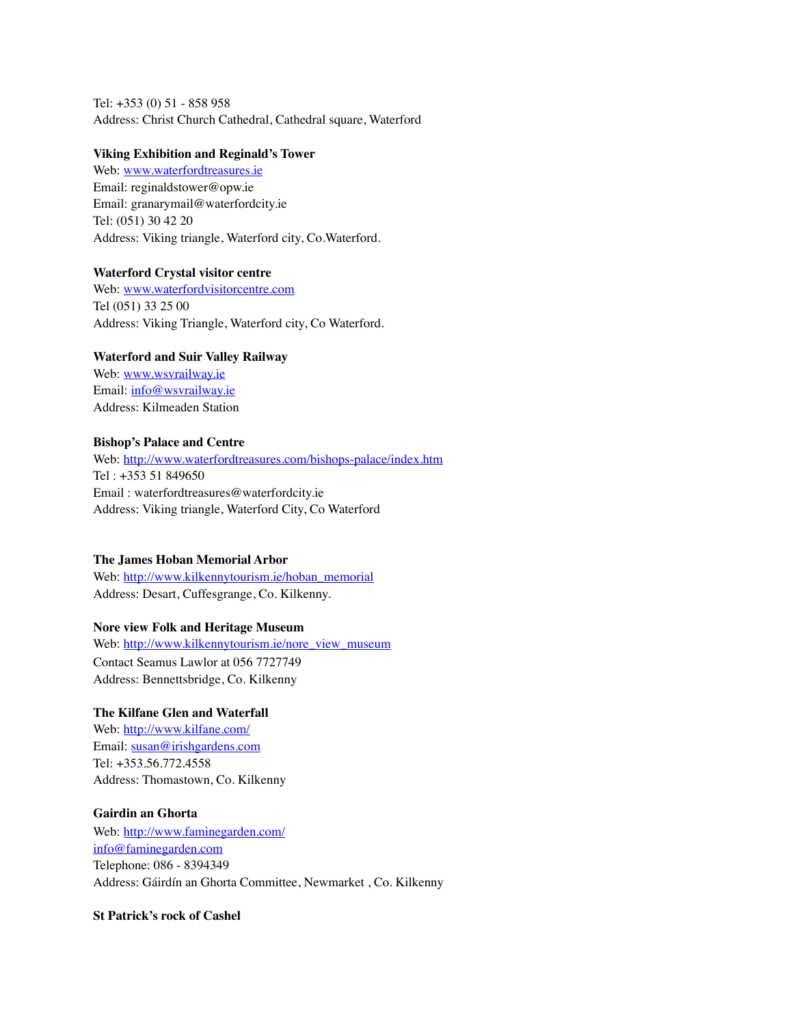Tel: +353 (0) 51 - 858 958 Address: Christ Church Cathedral, Cathedral square, Waterford

#### **Viking Exhibition and Reginald's Tower**

Web: [www.waterfordtreasures.ie](http://www.waterfordtreasures.ie) Email: [reginaldstower@opw.ie](mailto:reginaldstower@opw.ie) Email: [granarymail@waterfordcity.ie](mailto:granarymail@waterfordcity.ie) Tel: (051) 30 42 20 Address: Viking triangle, Waterford city, Co.Waterford.

#### **Waterford Crystal visitor centre**

Web: [www.waterfordvisitorcentre.com](http://www.waterfordvisitorcentre.com) Tel (051) 33 25 00 Address: Viking Triangle, Waterford city, Co Waterford.

#### **Waterford and Suir Valley Railway**

Web: [www.wsvrailway.ie](http://www.wsvrailway.ie) Email: [info@wsvrailway.ie](mailto:info@wsvrailway.ie) Address: Kilmeaden Station

#### **Bishop's Palace and Centre**

Web:<http://www.waterfordtreasures.com/bishops-palace/index.htm> Tel : +353 51 849650 Email : [waterfordtreasures@waterfordcity.ie](mailto:waterfordtreasures@waterfordcity.ie) Address: Viking triangle, Waterford City, Co Waterford

#### **The James Hoban Memorial Arbor**

Web: [http://www.kilkennytourism.ie/hoban\\_memorial](http://www.kilkennytourism.ie/hoban_memorial) Address: Desart, Cuffesgrange, Co. Kilkenny.

#### **Nore view Folk and Heritage Museum**

Web: [http://www.kilkennytourism.ie/nore\\_view\\_museum](http://www.kilkennytourism.ie/nore_view_museum) Contact Seamus Lawlor at 056 7727749 Address: Bennettsbridge, Co. Kilkenny

#### **The Kilfane Glen and Waterfall**

Web:<http://www.kilfane.com/> Email: [susan@irishgardens.com](mailto:susan@irishgardens.com) Tel: +353.56.772.4558 Address: Thomastown, Co. Kilkenny

#### **Gairdin an Ghorta**

Web:<http://www.faminegarden.com/> [info@faminegarden.com](http://www.faminegarden.com/contact.php) Telephone: 086 - 8394349 Address: Gáirdín an Ghorta Committee, Newmarket , Co. Kilkenny

#### **St Patrick's rock of Cashel**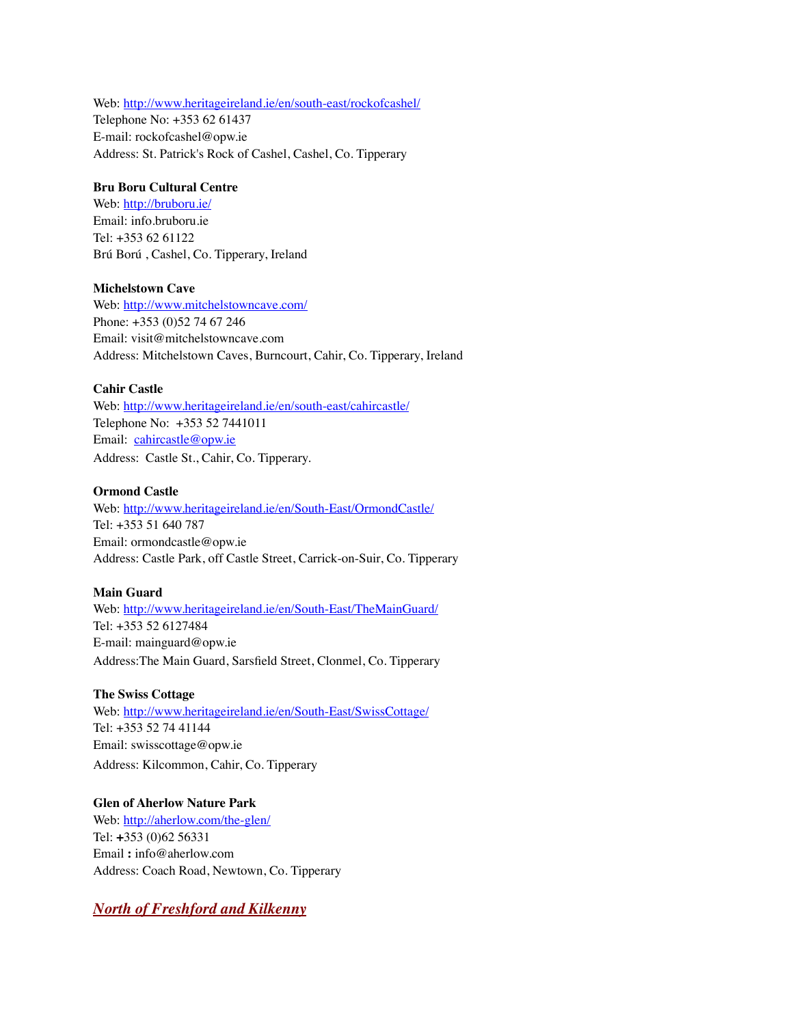Web:<http://www.heritageireland.ie/en/south-east/rockofcashel/> Telephone No: +353 62 61437 E-mail: [rockofcashel@opw.ie](mailto:rockofcashel@opw.ie) Address: St. Patrick's Rock of Cashel, Cashel, Co. Tipperary

#### **Bru Boru Cultural Centre**

Web:<http://bruboru.ie/> Email: info.bruboru.ie Tel: +353 62 61122 Brú Ború , Cashel, Co. Tipperary, Ireland

#### **Michelstown Cave**

Web:<http://www.mitchelstowncave.com/> Phone: +353 (0)52 74 67 246 Email: [visit@mitchelstowncave.com](mailto:visit@mitchelstowncave.com) Address: Mitchelstown Caves, Burncourt, Cahir, Co. Tipperary, Ireland

#### **Cahir Castle**

Web:<http://www.heritageireland.ie/en/south-east/cahircastle/> Telephone No: +353 52 7441011 Email: [cahircastle@opw.ie](mailto:%20cahircastle@opw.ie) Address: Castle St., Cahir, Co. Tipperary.

#### **Ormond Castle**

Web:<http://www.heritageireland.ie/en/South-East/OrmondCastle/> Tel: +353 51 640 787 Email: [ormondcastle@opw.ie](mailto:ormondcastle@opw.ie) Address: Castle Park, off Castle Street, Carrick-on-Suir, Co. Tipperary

#### **Main Guard**

Web:<http://www.heritageireland.ie/en/South-East/TheMainGuard/> Tel: +353 52 6127484 E-mail: [mainguard@opw.ie](mailto:mainguard@opw.ie) Address:The Main Guard, Sarsfield Street, Clonmel, Co. Tipperary

#### **The Swiss Cottage**

Web:<http://www.heritageireland.ie/en/South-East/SwissCottage/> Tel: +353 52 74 41144 Email: [swisscottage@opw.ie](mailto:swisscottage@opw.ie) Address: Kilcommon, Cahir, Co. Tipperary

**Glen of Aherlow Nature Park** Web:<http://aherlow.com/the-glen/> Tel: **+**353 (0)62 56331 Email **:** [info@aherlow.com](mailto:info@aherlow.com) Address: Coach Road, Newtown, Co. Tipperary

#### *North of Freshford and Kilkenny*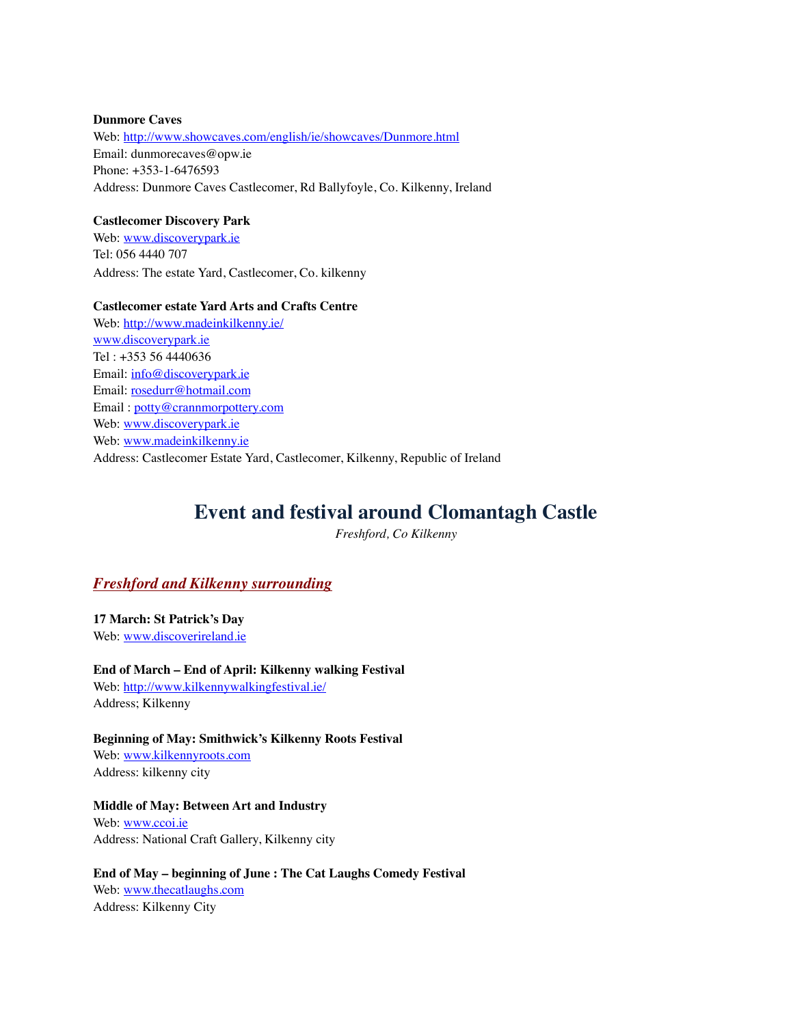#### **Dunmore Caves**

Web:<http://www.showcaves.com/english/ie/showcaves/Dunmore.html> Email: dunmorecaves@opw.ie Phone: +353-1-6476593 Address: Dunmore Caves Castlecomer, Rd Ballyfoyle, Co. Kilkenny, Ireland

#### **Castlecomer Discovery Park**

Web: [www.discoverypark.ie](http://www.discoverypark.ie) Tel: 056 4440 707 Address: The estate Yard, Castlecomer, Co. kilkenny

#### **Castlecomer estate Yard Arts and Crafts Centre**

Web:<http://www.madeinkilkenny.ie/> www.discoverypark.ie Tel : +353 56 4440636 Email: info@discoverypark.ie Email: rosedurr@hotmail.com Email : potty@crannmorpottery.com Web: www.discoverypark.ie Web: www.madeinkilkenny.ie Address: Castlecomer Estate Yard, Castlecomer, Kilkenny, Republic of Ireland

### **Event and festival around Clomantagh Castle**

*Freshford, Co Kilkenny*

#### *Freshford and Kilkenny surrounding*

**17 March: St Patrick's Day** Web: [www.discoverireland.ie](http://www.discoverireland.ie)

**End of March – End of April: Kilkenny walking Festival** Web:<http://www.kilkennywalkingfestival.ie/> Address; Kilkenny

**Beginning of May: Smithwick's Kilkenny Roots Festival** Web: [www.kilkennyroots.com](http://www.kilkennyroots.com) Address: kilkenny city

**Middle of May: Between Art and Industry** Web: [www.ccoi.ie](http://www.ccoi.ie) Address: National Craft Gallery, Kilkenny city

**End of May – beginning of June : The Cat Laughs Comedy Festival** Web: [www.thecatlaughs.com](http://www.thecatlaughs.com) Address: Kilkenny City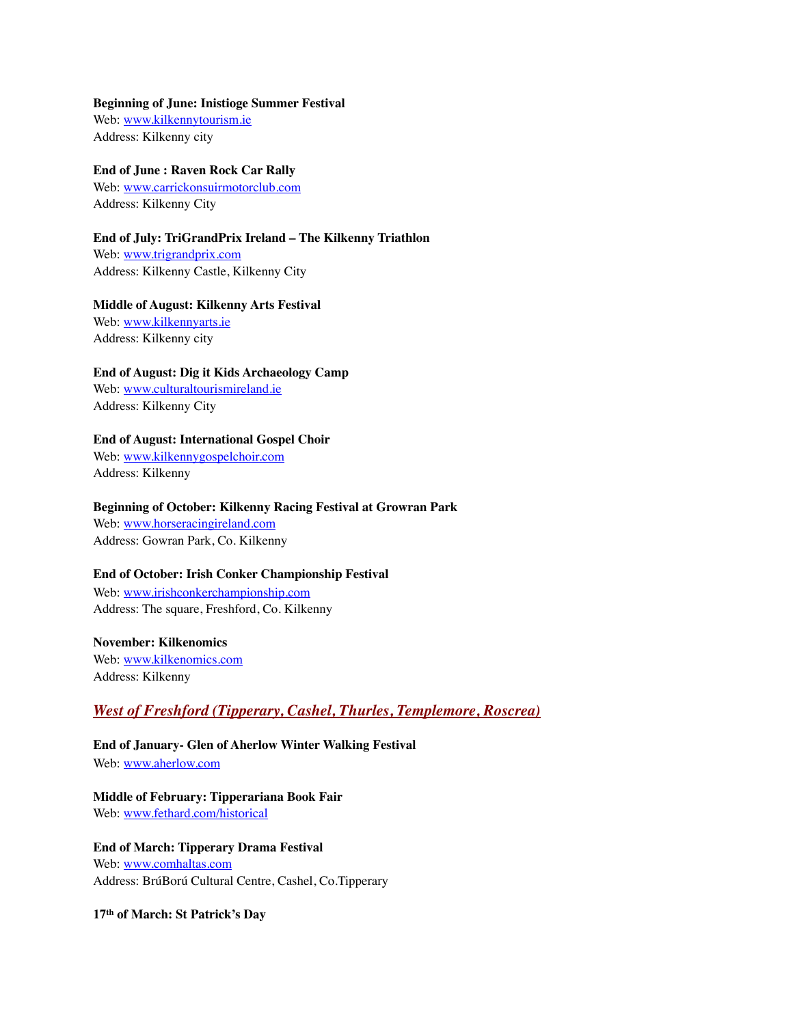#### **Beginning of June: Inistioge Summer Festival**

Web: [www.kilkennytourism.ie](http://www.kilkennytourism.ie) Address: Kilkenny city

#### **End of June : Raven Rock Car Rally**

Web: [www.carrickonsuirmotorclub.com](http://www.carrickonsuirmotorclub.com) Address: Kilkenny City

#### **End of July: TriGrandPrix Ireland – The Kilkenny Triathlon**

Web: [www.trigrandprix.com](http://www.trigrandprix.com) Address: Kilkenny Castle, Kilkenny City

#### **Middle of August: Kilkenny Arts Festival**

Web: [www.kilkennyarts.ie](http://www.kilkennyarts.ie) Address: Kilkenny city

#### **End of August: Dig it Kids Archaeology Camp**

Web: [www.culturaltourismireland.ie](http://www.culturaltourismireland.ie) Address: Kilkenny City

#### **End of August: International Gospel Choir**

Web: [www.kilkennygospelchoir.com](http://www.kilkennygospelchoir.com) Address: Kilkenny

#### **Beginning of October: Kilkenny Racing Festival at Growran Park**

Web: [www.horseracingireland.com](http://www.horseracingireland.com) Address: Gowran Park, Co. Kilkenny

#### **End of October: Irish Conker Championship Festival**

Web: [www.irishconkerchampionship.com](http://www.irishconkerchampionship.com) Address: The square, Freshford, Co. Kilkenny

#### **November: Kilkenomics**

Web: [www.kilkenomics.com](http://www.kilkenomics.com) Address: Kilkenny

#### *West of Freshford (Tipperary, Cashel, Thurles, Templemore, Roscrea)*

**End of January- Glen of Aherlow Winter Walking Festival** Web: [www.aherlow.com](http://www.aherlow.com)

**Middle of February: Tipperariana Book Fair**

Web: [www.fethard.com/historical](http://www.fethard.com/historical)

**End of March: Tipperary Drama Festival** Web: [www.comhaltas.com](http://www.comhaltas.com) Address: BrúBorú Cultural Centre, Cashel, Co.Tipperary

**17th of March: St Patrick's Day**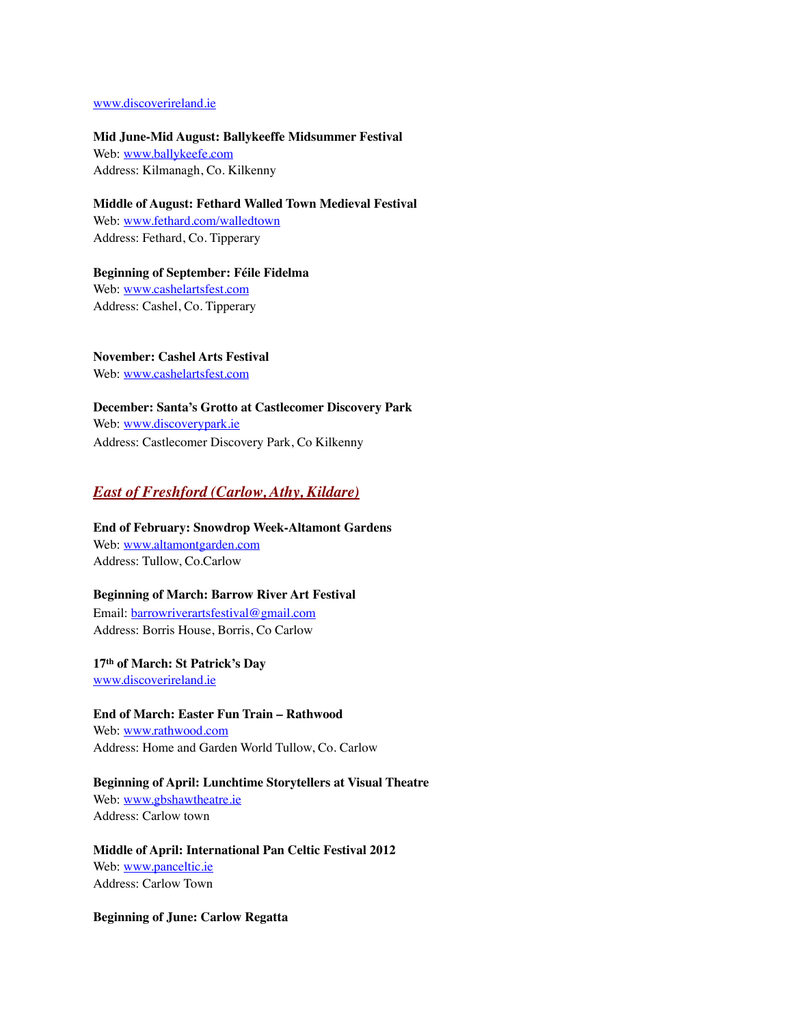#### [www.discoverireland.ie](http://www.discoverireland.ie)

**Mid June-Mid August: Ballykeeffe Midsummer Festival**

Web: [www.ballykeefe.com](http://www.ballykeefe.com) Address: Kilmanagh, Co. Kilkenny

**Middle of August: Fethard Walled Town Medieval Festival** Web: [www.fethard.com/walledtown](http://www.fethard.com/walledtown) Address: Fethard, Co. Tipperary

**Beginning of September: Féile Fidelma** Web: [www.cashelartsfest.com](http://www.cashelartsfest.com) Address: Cashel, Co. Tipperary

**November: Cashel Arts Festival** Web: [www.cashelartsfest.com](http://www.cashelartsfest.com)

**December: Santa's Grotto at Castlecomer Discovery Park** Web: [www.discoverypark.ie](http://www.discoverypark.ie) Address: Castlecomer Discovery Park, Co Kilkenny

#### *East of Freshford (Carlow, Athy, Kildare)*

**End of February: Snowdrop Week-Altamont Gardens** Web: [www.altamontgarden.com](http://www.altamontgarden.com) Address: Tullow, Co.Carlow

#### **Beginning of March: Barrow River Art Festival**

Email: [barrowriverartsfestival@gmail.com](mailto:barrowriverartsfestival@gmail.com) Address: Borris House, Borris, Co Carlow

**17th of March: St Patrick's Day** [www.discoverireland.ie](http://www.discoverireland.ie)

**End of March: Easter Fun Train – Rathwood** Web: [www.rathwood.com](http://www.rathwood.com) Address: Home and Garden World Tullow, Co. Carlow

**Beginning of April: Lunchtime Storytellers at Visual Theatre** Web: [www.gbshawtheatre.ie](http://www.gbshawtheatre.ie) Address: Carlow town

**Middle of April: International Pan Celtic Festival 2012** Web: [www.panceltic.ie](http://www.panceltic.ie) Address: Carlow Town

**Beginning of June: Carlow Regatta**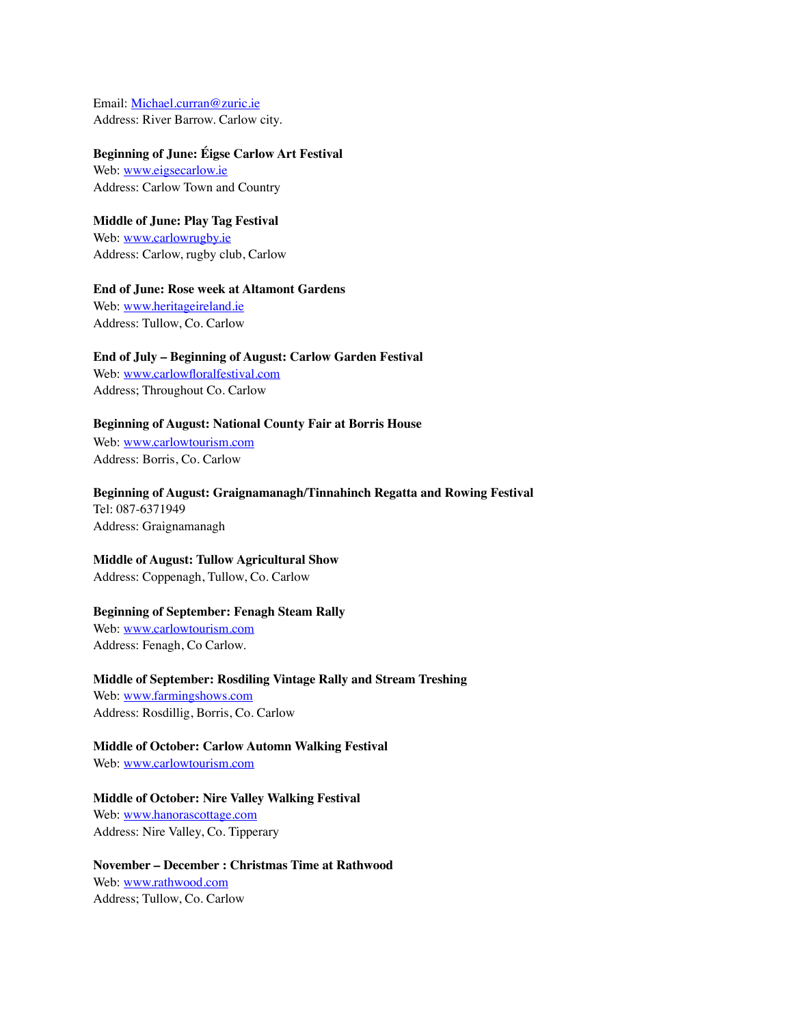Email: [Michael.curran@zuric.ie](mailto:Michael.curran@zuric.ie) Address: River Barrow. Carlow city.

#### **Beginning of June: Éigse Carlow Art Festival**

Web: [www.eigsecarlow.ie](http://www.eigsecarlow.ie) Address: Carlow Town and Country

### **Middle of June: Play Tag Festival**

Web: [www.carlowrugby.ie](http://www.carlowrugby.ie) Address: Carlow, rugby club, Carlow

#### **End of June: Rose week at Altamont Gardens**

Web: [www.heritageireland.ie](http://www.heritageireland.ie) Address: Tullow, Co. Carlow

#### **End of July – Beginning of August: Carlow Garden Festival**

Web: [www.carlowfloralfestival.com](http://www.carlowfloralfestival.com) Address; Throughout Co. Carlow

#### **Beginning of August: National County Fair at Borris House**

Web: [www.carlowtourism.com](http://www.carlowtourism.com) Address: Borris, Co. Carlow

**Beginning of August: Graignamanagh/Tinnahinch Regatta and Rowing Festival** Tel: 087-6371949 Address: Graignamanagh

#### **Middle of August: Tullow Agricultural Show**

Address: Coppenagh, Tullow, Co. Carlow

#### **Beginning of September: Fenagh Steam Rally**

Web: [www.carlowtourism.com](http://www.carlowtourism.com) Address: Fenagh, Co Carlow.

#### **Middle of September: Rosdiling Vintage Rally and Stream Treshing**

Web: [www.farmingshows.com](http://www.farmingshows.com) Address: Rosdillig, Borris, Co. Carlow

#### **Middle of October: Carlow Automn Walking Festival**

Web: [www.carlowtourism.com](http://www.carlowtourism.com)

#### **Middle of October: Nire Valley Walking Festival**

Web: [www.hanorascottage.com](http://www.hanorascottage.com) Address: Nire Valley, Co. Tipperary

#### **November – December : Christmas Time at Rathwood** Web: [www.rathwood.com](http://www.rathwood.com) Address; Tullow, Co. Carlow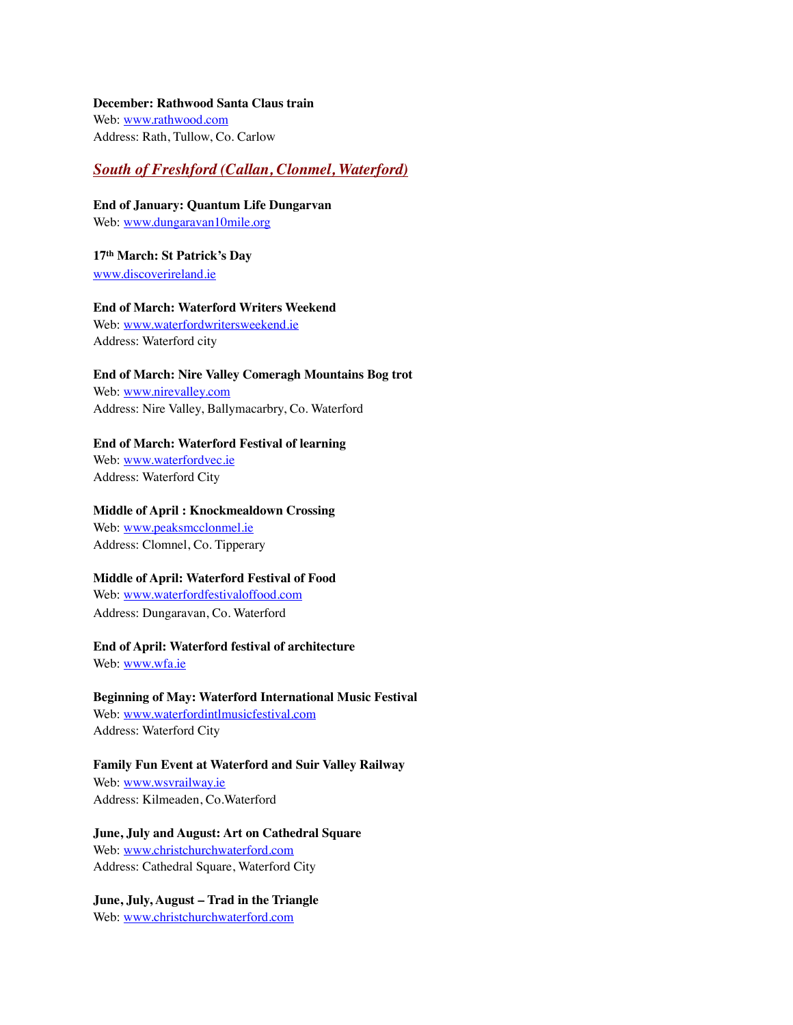#### **December: Rathwood Santa Claus train**

Web: [www.rathwood.com](http://www.rathwood.com) Address: Rath, Tullow, Co. Carlow

#### *South of Freshford (Callan, Clonmel, Waterford)*

**End of January: Quantum Life Dungarvan** Web: [www.dungaravan10mile.org](http://www.dungaravan10mile.org)

**17th March: St Patrick's Day** [www.discoverireland.ie](http://www.discoverireland.ie)

**End of March: Waterford Writers Weekend** Web: [www.waterfordwritersweekend.ie](http://www.waterfordwritersweekend.ie) Address: Waterford city

#### **End of March: Nire Valley Comeragh Mountains Bog trot**

Web: [www.nirevalley.com](http://www.nirevalley.com) Address: Nire Valley, Ballymacarbry, Co. Waterford

#### **End of March: Waterford Festival of learning**

Web: [www.waterfordvec.ie](http://www.waterfordvec.ie) Address: Waterford City

#### **Middle of April : Knockmealdown Crossing**

Web: [www.peaksmcclonmel.ie](http://www.peaksmcclonmel.ie) Address: Clomnel, Co. Tipperary

#### **Middle of April: Waterford Festival of Food**

Web: [www.waterfordfestivaloffood.com](http://www.waterfordfestivaloffood.com) Address: Dungaravan, Co. Waterford

## **End of April: Waterford festival of architecture**

Web: [www.wfa.ie](http://www.wfa.ie)

#### **Beginning of May: Waterford International Music Festival**

Web: [www.waterfordintlmusicfestival.com](http://www.waterfordintlmusicfestival.com) Address: Waterford City

#### **Family Fun Event at Waterford and Suir Valley Railway**

Web: [www.wsvrailway.ie](http://www.wsvrailway.ie) Address: Kilmeaden, Co.Waterford

#### **June, July and August: Art on Cathedral Square**

Web: [www.christchurchwaterford.com](http://www.christchurchwaterford.com) Address: Cathedral Square, Waterford City

#### **June, July, August – Trad in the Triangle**

Web: [www.christchurchwaterford.com](http://www.christchurchwaterford.com)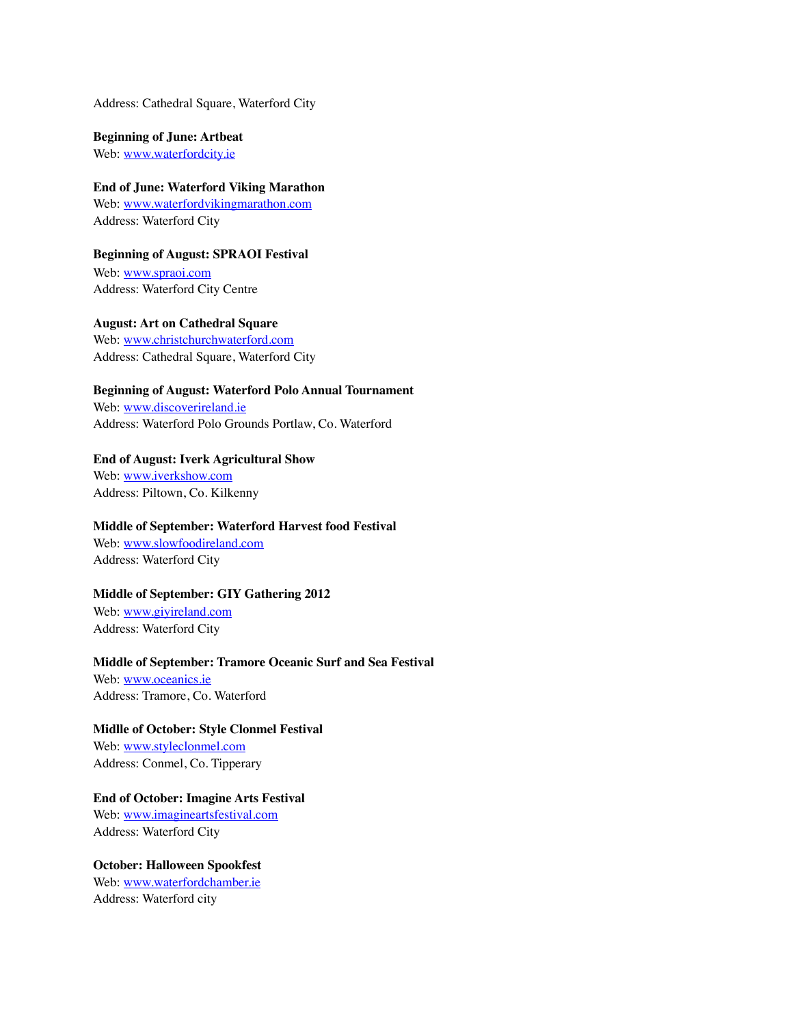Address: Cathedral Square, Waterford City

**Beginning of June: Artbeat** Web: [www.waterfordcity.ie](http://www.waterfordcity.ie)

**End of June: Waterford Viking Marathon** Web: [www.waterfordvikingmarathon.com](http://www.waterfordvikingmarathon.com) Address: Waterford City

**Beginning of August: SPRAOI Festival** Web: [www.spraoi.com](http://www.spraoi.com) Address: Waterford City Centre

**August: Art on Cathedral Square** Web: [www.christchurchwaterford.com](http://www.christchurchwaterford.com)

Address: Cathedral Square, Waterford City

**Beginning of August: Waterford Polo Annual Tournament**

Web: [www.discoverireland.ie](http://www.discoverireland.ie) Address: Waterford Polo Grounds Portlaw, Co. Waterford

**End of August: Iverk Agricultural Show** Web: [www.iverkshow.com](http://www.iverkshow.com) Address: Piltown, Co. Kilkenny

**Middle of September: Waterford Harvest food Festival** Web: [www.slowfoodireland.com](http://www.slowfoodireland.com) Address: Waterford City

**Middle of September: GIY Gathering 2012**

Web: [www.giyireland.com](http://www.giyireland.com) Address: Waterford City

#### **Middle of September: Tramore Oceanic Surf and Sea Festival**

Web: [www.oceanics.ie](http://www.oceanics.ie) Address: Tramore, Co. Waterford

**Midlle of October: Style Clonmel Festival**

Web: [www.styleclonmel.com](http://www.styleclonmel.com) Address: Conmel, Co. Tipperary

**End of October: Imagine Arts Festival**

Web: [www.imagineartsfestival.com](http://www.imagineartsfestival.com) Address: Waterford City

**October: Halloween Spookfest** Web: [www.waterfordchamber.ie](http://www.waterfordchamber.ie) Address: Waterford city